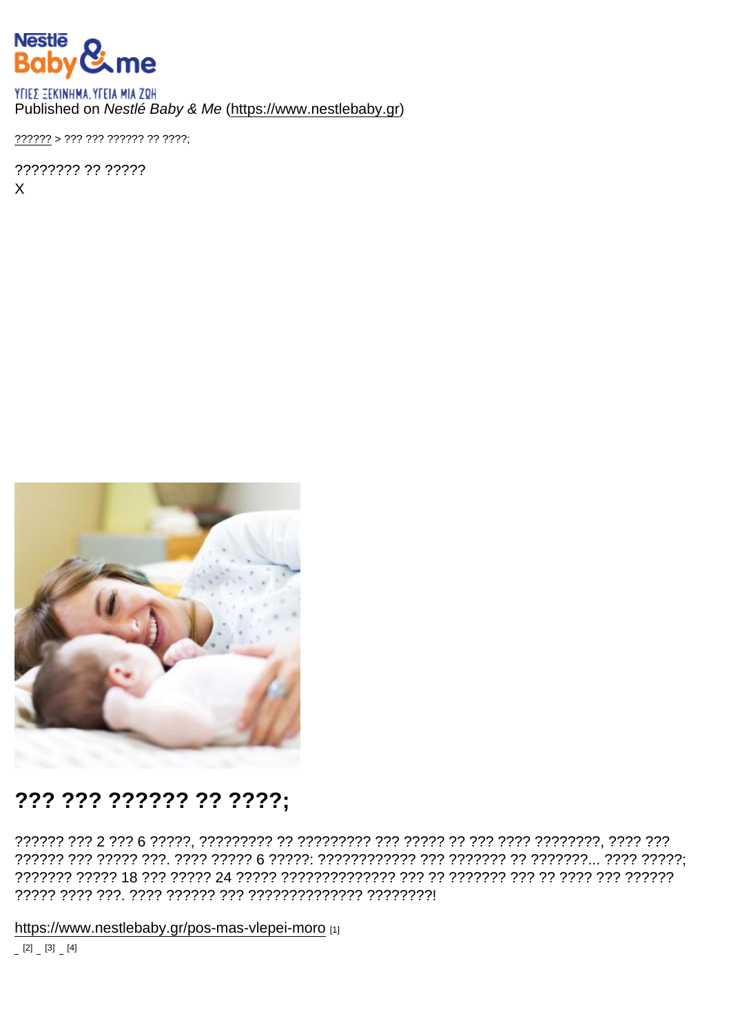## Published on Nestlé Baby & Me (https://www.nestlebaby.gr)

 $??????2 > ???????????????????$ 

???????? ?? ?????  $\mathsf{X}$ 

## ??? ??? ?????? ?? ????;

https://www.nestlebaby.gr/pos-mas-vlepei-moro [1]  $[2]$   $[3]$   $[4]$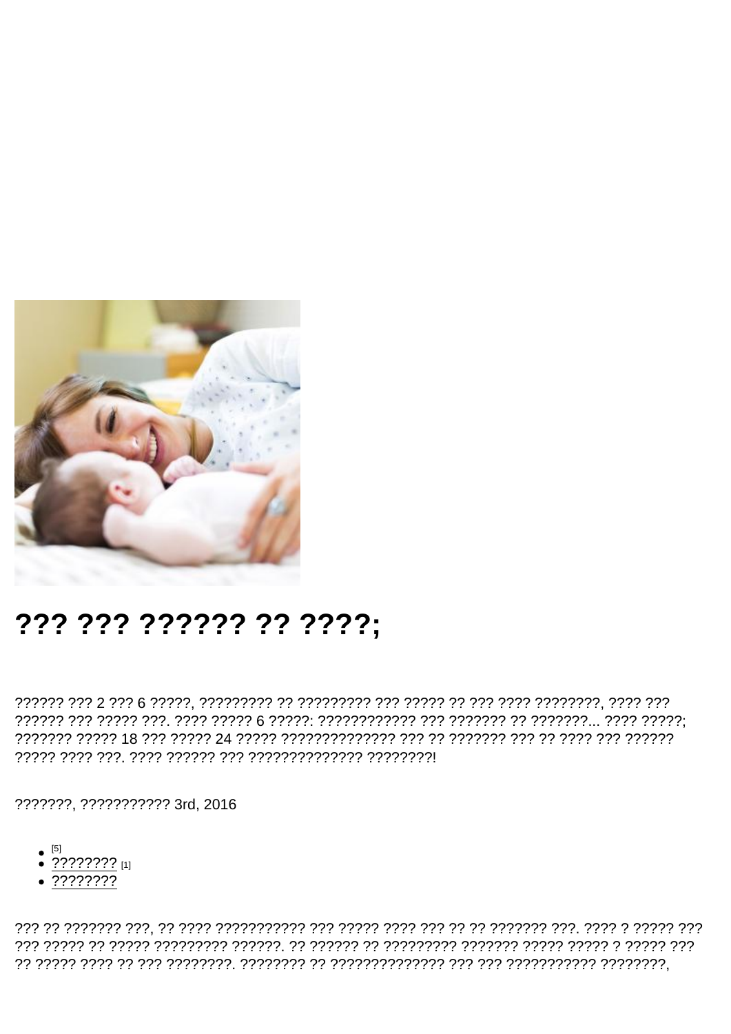## ??? ??? ?????? ?? ????;

???????, ??????????? 3rd, 2016

- 
- $\bullet$   $\frac{[5]}{?}$   $\frac{[7]}{?}$   $\frac{[7]}{?}$   $\frac{[11]}{?}$
- $\sqrt{77777772}$